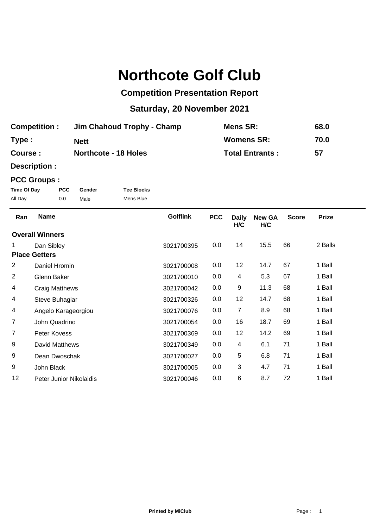# **Northcote Golf Club**

## **Competition Presentation Report**

## **Saturday, 20 November 2021**

| <b>Competition:</b> | Jim Chahoud Trophy - Champ  | Mens SR:               | 68.0 |
|---------------------|-----------------------------|------------------------|------|
| Type:               | Nett                        | <b>Womens SR:</b>      | 70.0 |
| <b>Course:</b>      | <b>Northcote - 18 Holes</b> | <b>Total Entrants:</b> | 57   |

**Description :**

#### **PCC Groups :**

| Time Of Day | <b>PCC</b> | Gender | <b>Tee Blocks</b> |
|-------------|------------|--------|-------------------|
| All Day     | 0.0        | Male   | Mens Blue         |

Golflink PCC Daily New GA Score Prize **H/C H/C** Ran Name **PEC 12 SET AND RAN** COLLETING PCC Daily New GA Score 1 Dan Sibley 3021700395 0.0 14 15.5 66 2 Balls **Overall Winners** 2 Daniel Hromin 3021700008 0.0 12 14.7 67 1 Ball **Place Getters** 2 Glenn Baker 3021700010 0.0 4 5.3 67 1 Ball 4 Craig Matthews 3021700042 0.0 9 11.3 68 1 Ball 4 Steve Buhagiar 3021700326 0.0 12 14.7 68 1 Ball 4 Angelo Karageorgiou 3021700076 0.0 7 8.9 68 1 Ball 7 John Quadrino 3021700054 0.0 16 18.7 69 1 Ball 7 Peter Kovess 3021700369 0.0 12 14.2 69 1 Ball 9 David Matthews 2021700349 0.0 4 6.1 71 1 Ball 9 Dean Dwoschak 3021700027 0.0 5 6.8 71 1 Ball 9 John Black 3021700005 0.0 3 4.7 71 1 Ball 12 Peter Junior Nikolaidis 3021700046 0.0 6 8.7 72 1 Ball